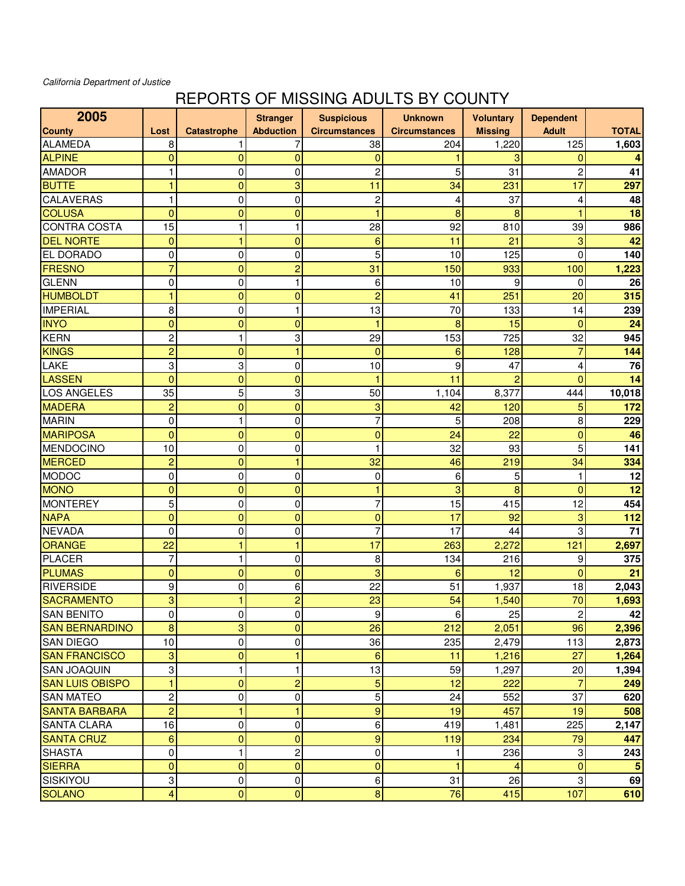## California Department of Justice

## REPORTS OF MISSING ADULTS BY COUNTY

| 2005                   |                |                    | <b>Stranger</b>  | <b>Suspicious</b>    | <b>Unknown</b>       | <b>Voluntary</b> | <b>Dependent</b> |              |
|------------------------|----------------|--------------------|------------------|----------------------|----------------------|------------------|------------------|--------------|
| <b>County</b>          | Lost           | <b>Catastrophe</b> | <b>Abduction</b> | <b>Circumstances</b> | <b>Circumstances</b> | <b>Missing</b>   | <b>Adult</b>     | <b>TOTAL</b> |
| <b>ALAMEDA</b>         | 8              |                    | 7                | 38                   | 204                  | 1,220            | 125              | 1,603        |
| <b>ALPINE</b>          | $\mathbf{0}$   | $\overline{0}$     | 0                | 0                    |                      |                  | $\mathbf 0$      |              |
| <b>AMADOR</b>          | 1              | $\pmb{0}$          | 0                | $\overline{c}$       | 5                    | 31               | $\overline{c}$   | 41           |
| <b>BUTTE</b>           | 1              | 0                  | 3                | 11                   | 34                   | 231              | 17               | 297          |
| CALAVERAS              | 1              | $\mathbf 0$        | $\pmb{0}$        | $\overline{c}$       | 4                    | 37               | 4                | 48           |
| <b>COLUSA</b>          | $\mathbf 0$    | $\mathbf 0$        | 0                | 1                    | 8                    | 8                |                  | 18           |
| <b>CONTRA COSTA</b>    | 15             | 1                  | 1                | 28                   | 92                   | 810              | 39               | 986          |
| <b>DEL NORTE</b>       | $\mathbf 0$    | 1                  | $\overline{0}$   | 6                    | 11                   | 21               | 3                | 42           |
| EL DORADO              | 0              | 0                  | 0                | 5                    | 10                   | 125              | $\mathbf{0}$     | 140          |
| <b>FRESNO</b>          | $\overline{7}$ | 0                  | $\overline{c}$   | 31                   | 150                  | 933              | 100              | 1,223        |
| <b>GLENN</b>           | 0              | 0                  | 1                | 6                    | 10                   | 9                | $\mathbf 0$      | 26           |
| <b>HUMBOLDT</b>        | $\overline{1}$ | $\mathbf 0$        | $\mathbf 0$      | $\overline{2}$       | 41                   | 251              | 20               | 315          |
| <b>IMPERIAL</b>        | 8              | $\pmb{0}$          | 1                | 13                   | 70                   | 133              | 14               | 239          |
| <b>INYO</b>            | $\overline{0}$ | $\overline{0}$     | $\overline{0}$   | 1                    | 8                    | 15               | $\overline{0}$   | 24           |
| <b>KERN</b>            | $\overline{c}$ | 1                  | 3                | 29                   | 153                  | 725              | 32               | 945          |
| <b>KINGS</b>           | $\overline{c}$ | $\overline{0}$     | 1                | $\overline{0}$       | 6                    | 128              | $\overline{7}$   | 144          |
| LAKE                   | 3              | 3                  | 0                | 10                   | 9                    | 47               | $\overline{4}$   | 76           |
| <b>LASSEN</b>          | $\overline{0}$ | 0                  | $\overline{0}$   | 1                    | 11                   | $\overline{2}$   | $\overline{0}$   | 14           |
| <b>LOS ANGELES</b>     | 35             | 5                  | 3                | 50                   | 1,104                | 8,377            | 444              | 10,018       |
| <b>MADERA</b>          | $\overline{c}$ | $\mathbf 0$        | $\mathbf 0$      | 3                    | 42                   | 120              | 5                | 172          |
| <b>MARIN</b>           | $\pmb{0}$      | 1                  | 0                | 7                    | 5                    | 208              | 8                | 229          |
| <b>MARIPOSA</b>        | $\overline{0}$ | $\mathbf 0$        | $\overline{0}$   | $\overline{0}$       | 24                   | 22               | $\overline{0}$   | 46           |
| <b>MENDOCINO</b>       | 10             | $\mathbf 0$        | 0                | 1                    | 32                   | 93               | 5                | 141          |
| <b>MERCED</b>          | $\overline{c}$ | $\overline{0}$     | 1                | 32                   | 46                   | 219              | 34               | 334          |
| <b>MODOC</b>           | 0              | 0                  | 0                | 0                    | 6                    | 5                | 1                | 12           |
| <b>MONO</b>            | $\mathbf 0$    | $\overline{0}$     | $\overline{0}$   | 1                    | 3                    | 8                | $\overline{0}$   | 12           |
| <b>MONTEREY</b>        | 5              | $\pmb{0}$          | 0                | 7                    | 15                   | 415              | 12               | 454          |
| <b>NAPA</b>            | $\mathbf 0$    | $\mathbf 0$        | $\overline{0}$   | 0                    | 17                   | 92               | 3                | 112          |
| <b>NEVADA</b>          | 0              | $\pmb{0}$          | 0                | 7                    | 17                   | 44               | 3                | 71           |
| <b>ORANGE</b>          | 22             | 1                  | 1                | 17                   | 263                  | 2,272            | 121              | 2,697        |
| <b>PLACER</b>          | 7              | 1                  | 0                | 8                    | 134                  | 216              | 9                | 375          |
| <b>PLUMAS</b>          | $\overline{0}$ | $\overline{0}$     | $\overline{0}$   | 3                    | 6                    | 12               | $\overline{0}$   | 21           |
| <b>RIVERSIDE</b>       | 9              | 0                  | 6                | 22                   | 51                   | 1,937            | 18               | 2,043        |
| <b>SACRAMENTO</b>      | 3              | 1                  | $\overline{c}$   | 23                   | 54                   | 1,540            | 70               | 1,693        |
| <b>SAN BENITO</b>      | 0              | 0                  | 0                | $\boldsymbol{9}$     | 6                    | 25               | $\overline{2}$   | 42           |
| <b>SAN BERNARDINO</b>  | 8              | 3                  | $\overline{0}$   | 26                   | 212                  | 2,051            | 96               | 2,396        |
| <b>SAN DIEGO</b>       | 10             | $\pmb{0}$          | $\pmb{0}$        | 36                   | 235                  | 2,479            | 113              | 2,873        |
| <b>SAN FRANCISCO</b>   | 3              | $\mathbf 0$        | 1                | $6\phantom{a}$       | 11                   | 1,216            | 27               | 1,264        |
| <b>SAN JOAQUIN</b>     | 3              | 1                  | 1                | 13                   | 59                   | 1,297            | 20               | 1,394        |
| <b>SAN LUIS OBISPO</b> | $\mathbf{1}$   | $\mathbf 0$        | $\overline{c}$   | $\overline{5}$       | 12                   | 222              | $\overline{7}$   | 249          |
| <b>SAN MATEO</b>       | $\overline{c}$ | 0                  | $\pmb{0}$        | 5                    | 24                   | 552              | 37               | 620          |
| <b>SANTA BARBARA</b>   | $\overline{c}$ | 1                  | 1                | 9                    | 19                   | 457              | 19               | 508          |
| <b>SANTA CLARA</b>     | 16             | 0                  | 0                | 6                    | 419                  | 1,481            | 225              | 2,147        |
| <b>SANTA CRUZ</b>      | 6              | $\mathbf 0$        | $\mathbf{0}$     | $\overline{9}$       | 119                  | 234              | 79               | 447          |
| <b>SHASTA</b>          | 0              | 1                  | 2                | $\pmb{0}$            | 1                    | 236              | $\mathbf 3$      | 243          |
| <b>SIERRA</b>          | $\mathbf{0}$   | $\mathbf 0$        | $\mathbf 0$      | $\overline{0}$       | 1                    |                  | $\mathbf{0}$     | 5            |
| SISKIYOU               | 3              | 0                  | 0                | $\,6$                | 31                   | 26               | $\mathbf 3$      | 69           |
| <b>SOLANO</b>          | 4              | $\mathbf 0$        | $\pmb{0}$        | $\bf 8$              | 76                   | 415              | 107              | 610          |